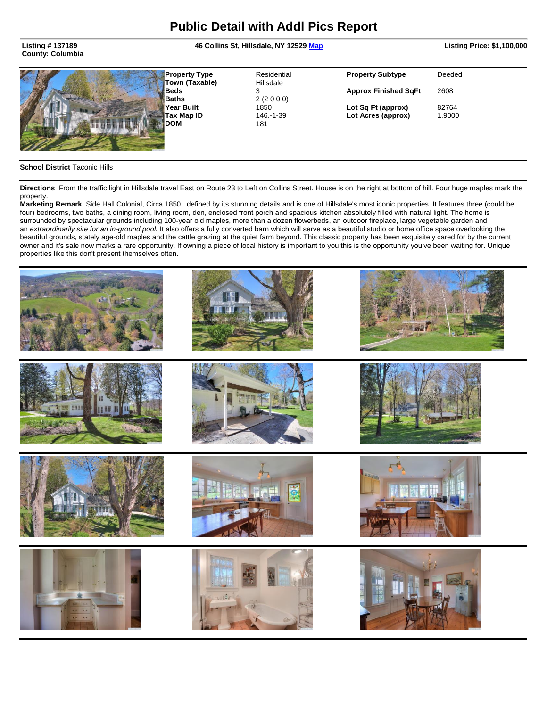## **Public Detail with Addl Pics Report**

# **County: Columbia**

### **Listing # 137189 46 Collins St, Hillsdale, NY 12529 [Map](https://maps.google.com/?q=46%20Collins%20St%2C%20Hillsdale%2C%20NY%2012529) Listing Price: \$1,100,000**



### **School District** Taconic Hills

**Directions** From the traffic light in Hillsdale travel East on Route 23 to Left on Collins Street. House is on the right at bottom of hill. Four huge maples mark the property.

**Marketing Remark** Side Hall Colonial, Circa 1850, defined by its stunning details and is one of Hillsdale's most iconic properties. It features three (could be four) bedrooms, two baths, a dining room, living room, den, enclosed front porch and spacious kitchen absolutely filled with natural light. The home is surrounded by spectacular grounds including 100-year old maples, more than a dozen flowerbeds, an outdoor fireplace, large vegetable garden and an *extraordinarily site for an in-ground pool.* It also offers a fully converted barn which will serve as a beautiful studio or home office space overlooking the beautiful grounds, stately age-old maples and the cattle grazing at the quiet farm beyond. This classic property has been exquisitely cared for by the current owner and it's sale now marks a rare opportunity. If owning a piece of local history is important to you this is the opportunity you've been waiting for. Unique properties like this don't present themselves often.

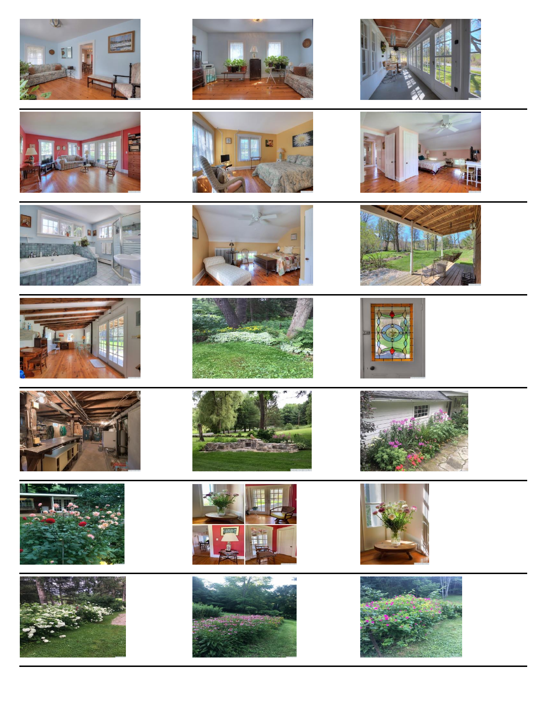